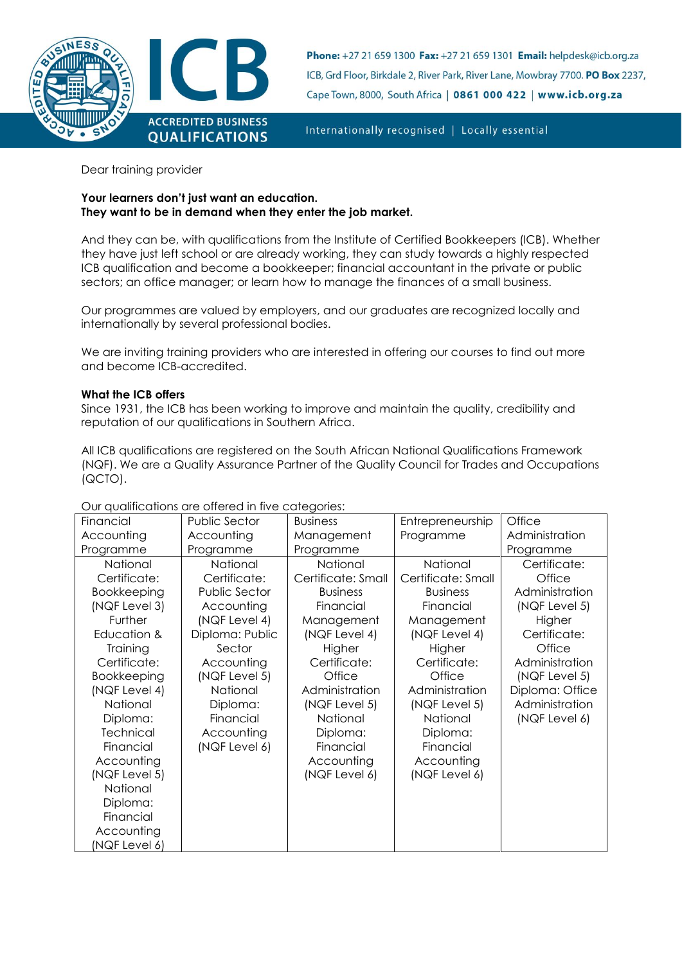

Phone: +27 21 659 1300 Fax: +27 21 659 1301 Email: helpdesk@icb.org.za ICB, Grd Floor, Birkdale 2, River Park, River Lane, Mowbray 7700. PO Box 2237, Cape Town, 8000, South Africa | 0861 000 422 | www.icb.org.za

Internationally recognised | Locally essential

Dear training provider

## **Your learners don't just want an education. They want to be in demand when they enter the job market.**

And they can be, with qualifications from the Institute of Certified Bookkeepers (ICB). Whether they have just left school or are already working, they can study towards a highly respected ICB qualification and become a bookkeeper; financial accountant in the private or public sectors; an office manager; or learn how to manage the finances of a small business.

Our programmes are valued by employers, and our graduates are recognized locally and internationally by several professional bodies.

We are inviting training providers who are interested in offering our courses to find out more and become ICB-accredited.

# **What the ICB offers**

Since 1931, the ICB has been working to improve and maintain the quality, credibility and reputation of our qualifications in Southern Africa.

All ICB qualifications are registered on the South African National Qualifications Framework (NQF). We are a Quality Assurance Partner of the Quality Council for Trades and Occupations (QCTO).

| Financial        | <b>Public Sector</b> | <b>Business</b>    | Entrepreneurship   | Office          |
|------------------|----------------------|--------------------|--------------------|-----------------|
| Accounting       | Accounting           | Management         | Programme          | Administration  |
| Programme        | Programme            | Programme          |                    | Programme       |
| National         | National             | National           | National           | Certificate:    |
| Certificate:     | Certificate:         | Certificate: Small | Certificate: Small | Office          |
| Bookkeeping      | Public Sector        | <b>Business</b>    | <b>Business</b>    | Administration  |
| (NQF Level 3)    | Accounting           | Financial          | Financial          | (NQF Level 5)   |
| Further          | (NQF Level 4)        | Management         | Management         | Higher          |
| Education &      | Diploma: Public      | (NQF Level 4)      | (NQF Level 4)      | Certificate:    |
| Training         | Sector               | Higher             | Higher             | Office          |
| Certificate:     | Accounting           | Certificate:       | Certificate:       | Administration  |
| Bookkeeping      | (NQF Level 5)        | Office             | Office             | (NQF Level 5)   |
| (NQF Level 4)    | National             | Administration     | Administration     | Diploma: Office |
| National         | Diploma:             | (NQF Level 5)      | (NQF Level 5)      | Administration  |
| Diploma:         | Financial            | National           | National           | (NQF Level 6)   |
| <b>Technical</b> | Accounting           | Diploma:           | Diploma:           |                 |
| Financial        | (NQF Level 6)        | Financial          | Financial          |                 |
| Accounting       |                      | Accounting         | Accounting         |                 |
| (NQF Level 5)    |                      | (NQF Level 6)      | (NQF Level 6)      |                 |
| National         |                      |                    |                    |                 |
| Diploma:         |                      |                    |                    |                 |
| Financial        |                      |                    |                    |                 |
| Accounting       |                      |                    |                    |                 |
| (NQF Level 6)    |                      |                    |                    |                 |

## Our qualifications are offered in five categories: